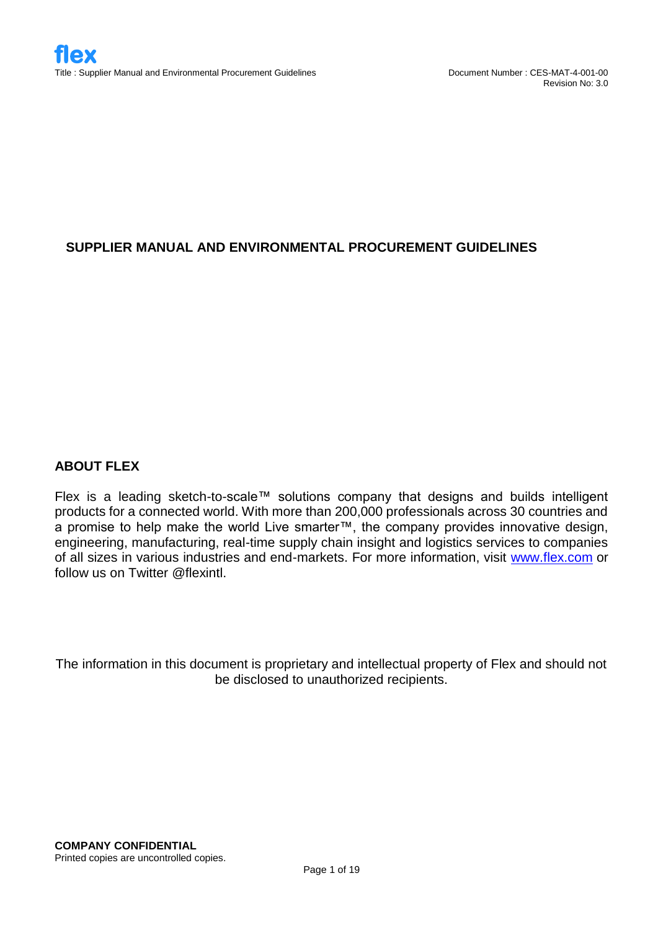# **SUPPLIER MANUAL AND ENVIRONMENTAL PROCUREMENT GUIDELINES**

# **ABOUT FLEX**

Flex is a leading sketch-to-scale™ solutions company that designs and builds intelligent products for a connected world. With more than 200,000 professionals across 30 countries and a promise to help make the world Live smarter™, the company provides innovative design, engineering, manufacturing, real-time supply chain insight and logistics services to companies of all sizes in various industries and end-markets. For more information, visit [www.flex.com](http://www.flex.com/) or follow us on Twitter @flexintl.

The information in this document is proprietary and intellectual property of Flex and should not be disclosed to unauthorized recipients.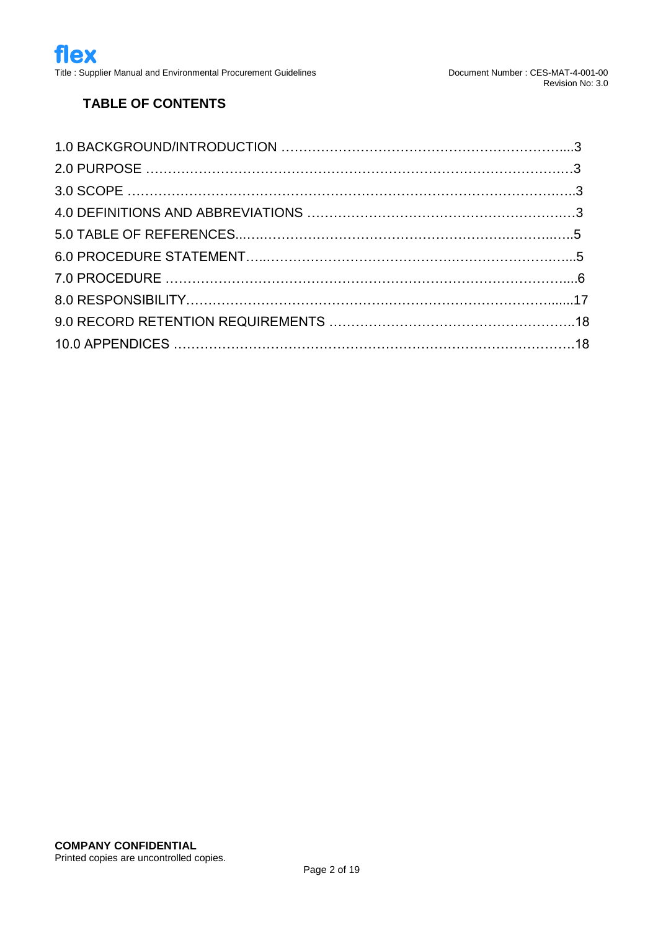# **TABLE OF CONTENTS**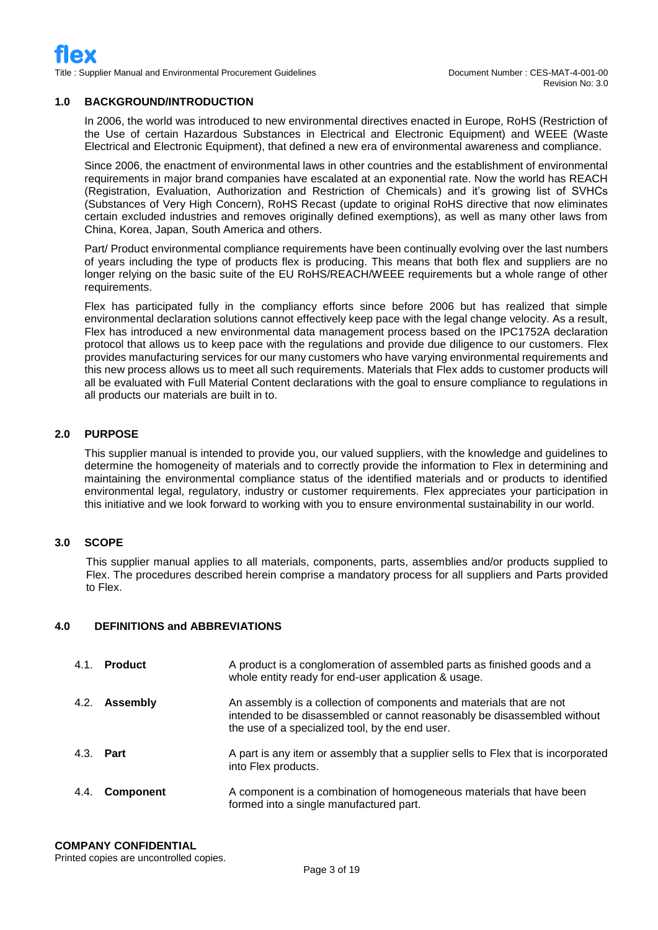#### **1.0 BACKGROUND/INTRODUCTION**

In 2006, the world was introduced to new environmental directives enacted in Europe, RoHS (Restriction of the Use of certain Hazardous Substances in Electrical and Electronic Equipment) and WEEE (Waste Electrical and Electronic Equipment), that defined a new era of environmental awareness and compliance.

Since 2006, the enactment of environmental laws in other countries and the establishment of environmental requirements in major brand companies have escalated at an exponential rate. Now the world has REACH (Registration, Evaluation, Authorization and Restriction of Chemicals) and it's growing list of SVHCs (Substances of Very High Concern), RoHS Recast (update to original RoHS directive that now eliminates certain excluded industries and removes originally defined exemptions), as well as many other laws from China, Korea, Japan, South America and others.

Part/ Product environmental compliance requirements have been continually evolving over the last numbers of years including the type of products flex is producing. This means that both flex and suppliers are no longer relying on the basic suite of the EU RoHS/REACH/WEEE requirements but a whole range of other requirements.

Flex has participated fully in the compliancy efforts since before 2006 but has realized that simple environmental declaration solutions cannot effectively keep pace with the legal change velocity. As a result, Flex has introduced a new environmental data management process based on the IPC1752A declaration protocol that allows us to keep pace with the regulations and provide due diligence to our customers. Flex provides manufacturing services for our many customers who have varying environmental requirements and this new process allows us to meet all such requirements. Materials that Flex adds to customer products will all be evaluated with Full Material Content declarations with the goal to ensure compliance to regulations in all products our materials are built in to.

#### **2.0 PURPOSE**

This supplier manual is intended to provide you, our valued suppliers, with the knowledge and guidelines to determine the homogeneity of materials and to correctly provide the information to Flex in determining and maintaining the environmental compliance status of the identified materials and or products to identified environmental legal, regulatory, industry or customer requirements. Flex appreciates your participation in this initiative and we look forward to working with you to ensure environmental sustainability in our world.

#### **3.0 SCOPE**

This supplier manual applies to all materials, components, parts, assemblies and/or products supplied to Flex. The procedures described herein comprise a mandatory process for all suppliers and Parts provided to Flex.

#### **4.0 DEFINITIONS and ABBREVIATIONS**

| 4.1. | Product          | A product is a conglomeration of assembled parts as finished goods and a<br>whole entity ready for end-user application & usage.                                                                    |
|------|------------------|-----------------------------------------------------------------------------------------------------------------------------------------------------------------------------------------------------|
|      | 4.2. Assembly    | An assembly is a collection of components and materials that are not<br>intended to be disassembled or cannot reasonably be disassembled without<br>the use of a specialized tool, by the end user. |
|      | 4.3. <b>Part</b> | A part is any item or assembly that a supplier sells to Flex that is incorporated<br>into Flex products.                                                                                            |
| 4.4. | <b>Component</b> | A component is a combination of homogeneous materials that have been<br>formed into a single manufactured part.                                                                                     |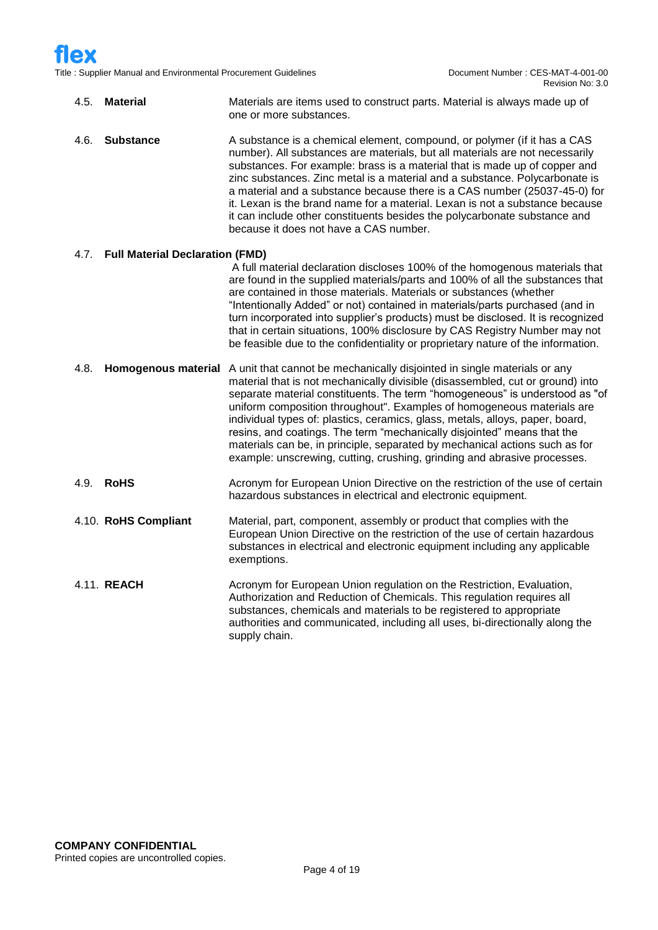Title : Supplier Manual and Environmental Procurement Guidelines

| 4.5. | <b>Material</b>                        | Materials are items used to construct parts. Material is always made up of<br>one or more substances.                                                                                                                                                                                                                                                                                                                                                                                                                                                                                                                                      |
|------|----------------------------------------|--------------------------------------------------------------------------------------------------------------------------------------------------------------------------------------------------------------------------------------------------------------------------------------------------------------------------------------------------------------------------------------------------------------------------------------------------------------------------------------------------------------------------------------------------------------------------------------------------------------------------------------------|
| 4.6. | <b>Substance</b>                       | A substance is a chemical element, compound, or polymer (if it has a CAS<br>number). All substances are materials, but all materials are not necessarily<br>substances. For example: brass is a material that is made up of copper and<br>zinc substances. Zinc metal is a material and a substance. Polycarbonate is<br>a material and a substance because there is a CAS number (25037-45-0) for<br>it. Lexan is the brand name for a material. Lexan is not a substance because<br>it can include other constituents besides the polycarbonate substance and<br>because it does not have a CAS number.                                  |
| 4.7. | <b>Full Material Declaration (FMD)</b> |                                                                                                                                                                                                                                                                                                                                                                                                                                                                                                                                                                                                                                            |
|      |                                        | A full material declaration discloses 100% of the homogenous materials that<br>are found in the supplied materials/parts and 100% of all the substances that<br>are contained in those materials. Materials or substances (whether<br>"Intentionally Added" or not) contained in materials/parts purchased (and in<br>turn incorporated into supplier's products) must be disclosed. It is recognized<br>that in certain situations, 100% disclosure by CAS Registry Number may not<br>be feasible due to the confidentiality or proprietary nature of the information.                                                                    |
| 4.8. | <b>Homogenous material</b>             | A unit that cannot be mechanically disjointed in single materials or any<br>material that is not mechanically divisible (disassembled, cut or ground) into<br>separate material constituents. The term "homogeneous" is understood as "of<br>uniform composition throughout". Examples of homogeneous materials are<br>individual types of: plastics, ceramics, glass, metals, alloys, paper, board,<br>resins, and coatings. The term "mechanically disjointed" means that the<br>materials can be, in principle, separated by mechanical actions such as for<br>example: unscrewing, cutting, crushing, grinding and abrasive processes. |
| 4.9. | <b>RoHS</b>                            | Acronym for European Union Directive on the restriction of the use of certain<br>hazardous substances in electrical and electronic equipment.                                                                                                                                                                                                                                                                                                                                                                                                                                                                                              |
|      | 4.10. RoHS Compliant                   | Material, part, component, assembly or product that complies with the<br>European Union Directive on the restriction of the use of certain hazardous<br>substances in electrical and electronic equipment including any applicable<br>exemptions.                                                                                                                                                                                                                                                                                                                                                                                          |
|      | 4.11. REACH                            | Acronym for European Union regulation on the Restriction, Evaluation,<br>Authorization and Reduction of Chemicals. This regulation requires all<br>substances, chemicals and materials to be registered to appropriate<br>authorities and communicated, including all uses, bi-directionally along the<br>supply chain.                                                                                                                                                                                                                                                                                                                    |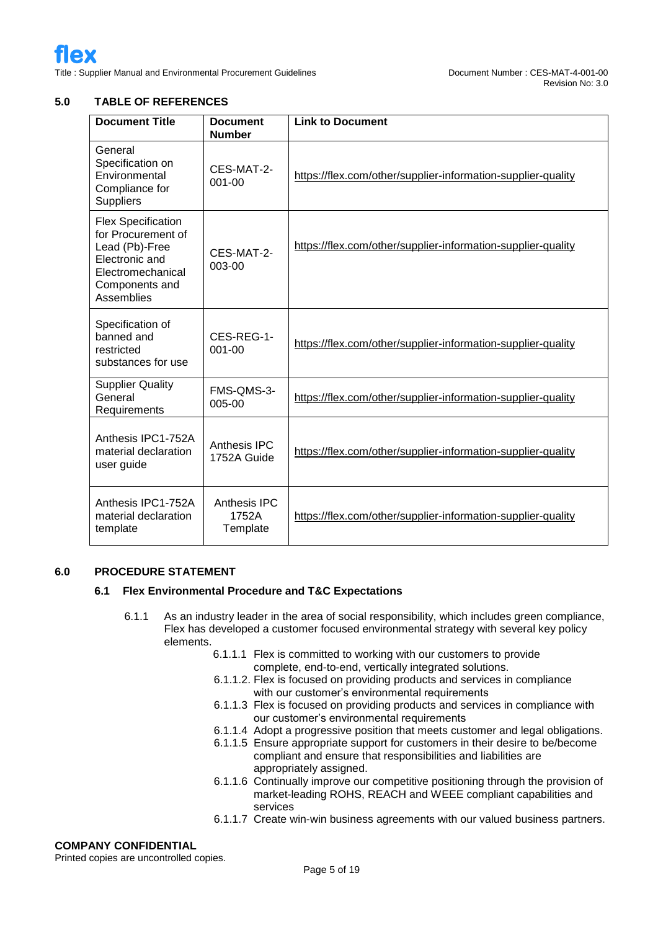## **5.0 TABLE OF REFERENCES**

| <b>Document Title</b>                                                                                                                    | <b>Document</b><br><b>Number</b>  | <b>Link to Document</b>                                      |
|------------------------------------------------------------------------------------------------------------------------------------------|-----------------------------------|--------------------------------------------------------------|
| General<br>Specification on<br>Environmental<br>Compliance for<br><b>Suppliers</b>                                                       | CES-MAT-2-<br>$001 - 00$          | https://flex.com/other/supplier-information-supplier-quality |
| <b>Flex Specification</b><br>for Procurement of<br>Lead (Pb)-Free<br>Electronic and<br>Electromechanical<br>Components and<br>Assemblies | CES-MAT-2-<br>003-00              | https://flex.com/other/supplier-information-supplier-quality |
| Specification of<br>banned and<br>restricted<br>substances for use                                                                       | CES-REG-1-<br>001-00              | https://flex.com/other/supplier-information-supplier-quality |
| <b>Supplier Quality</b><br>General<br>Requirements                                                                                       | FMS-QMS-3-<br>005-00              | https://flex.com/other/supplier-information-supplier-quality |
| Anthesis IPC1-752A<br>material declaration<br>user guide                                                                                 | Anthesis IPC<br>1752A Guide       | https://flex.com/other/supplier-information-supplier-quality |
| Anthesis IPC1-752A<br>material declaration<br>template                                                                                   | Anthesis IPC<br>1752A<br>Template | https://flex.com/other/supplier-information-supplier-quality |

#### **6.0 PROCEDURE STATEMENT**

#### **6.1 Flex Environmental Procedure and T&C Expectations**

- 6.1.1 As an industry leader in the area of social responsibility, which includes green compliance, Flex has developed a customer focused environmental strategy with several key policy elements.
	- 6.1.1.1 Flex is committed to working with our customers to provide complete, end-to-end, vertically integrated solutions.
	- 6.1.1.2. Flex is focused on providing products and services in compliance with our customer's environmental requirements
	- 6.1.1.3 Flex is focused on providing products and services in compliance with our customer's environmental requirements
	- 6.1.1.4 Adopt a progressive position that meets customer and legal obligations.
	- 6.1.1.5 Ensure appropriate support for customers in their desire to be/become compliant and ensure that responsibilities and liabilities are appropriately assigned.
	- 6.1.1.6 Continually improve our competitive positioning through the provision of market-leading ROHS, REACH and WEEE compliant capabilities and services
	- 6.1.1.7 Create win-win business agreements with our valued business partners.

#### **COMPANY CONFIDENTIAL**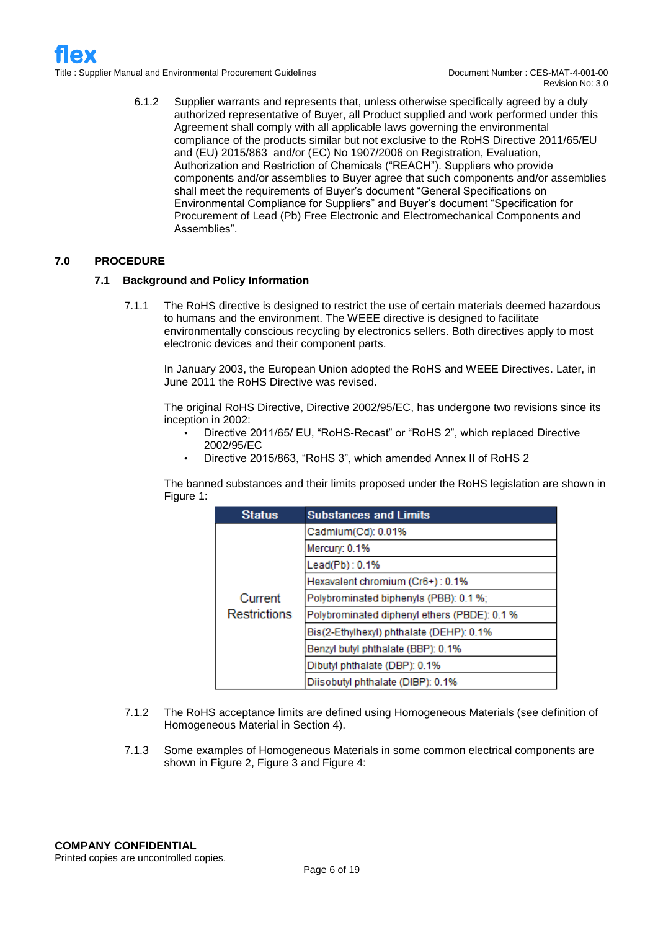6.1.2 Supplier warrants and represents that, unless otherwise specifically agreed by a duly authorized representative of Buyer, all Product supplied and work performed under this Agreement shall comply with all applicable laws governing the environmental compliance of the products similar but not exclusive to the RoHS Directive 2011/65/EU and (EU) 2015/863 and/or (EC) No 1907/2006 on Registration, Evaluation, Authorization and Restriction of Chemicals ("REACH"). Suppliers who provide components and/or assemblies to Buyer agree that such components and/or assemblies shall meet the requirements of Buyer's document "General Specifications on Environmental Compliance for Suppliers" and Buyer's document "Specification for Procurement of Lead (Pb) Free Electronic and Electromechanical Components and Assemblies".

### **7.0 PROCEDURE**

#### **7.1 Background and Policy Information**

7.1.1 The RoHS directive is designed to restrict the use of certain materials deemed hazardous to humans and the environment. The WEEE directive is designed to facilitate environmentally conscious recycling by electronics sellers. Both directives apply to most electronic devices and their component parts.

In January 2003, the European Union adopted the RoHS and WEEE Directives. Later, in June 2011 the RoHS Directive was revised.

The original RoHS Directive, Directive 2002/95/EC, has undergone two revisions since its inception in 2002:

- Directive 2011/65/ EU, "RoHS-Recast" or "RoHS 2", which replaced Directive 2002/95/EC
- Directive 2015/863, "RoHS 3", which amended Annex II of RoHS 2

The banned substances and their limits proposed under the RoHS legislation are shown in Figure 1:

| <b>Status</b>                  | <b>Substances and Limits</b>                 |  |  |
|--------------------------------|----------------------------------------------|--|--|
|                                | Cadmium(Cd): 0.01%                           |  |  |
|                                | Mercury: 0.1%                                |  |  |
|                                | Lead(Pb): 0.1%                               |  |  |
| Current<br><b>Restrictions</b> | Hexavalent chromium (Cr6+): 0.1%             |  |  |
|                                | Polybrominated biphenyls (PBB): 0.1 %;       |  |  |
|                                | Polybrominated diphenyl ethers (PBDE): 0.1 % |  |  |
|                                | Bis(2-Ethylhexyl) phthalate (DEHP): 0.1%     |  |  |
|                                | Benzyl butyl phthalate (BBP): 0.1%           |  |  |
|                                | Dibutyl phthalate (DBP): 0.1%                |  |  |
|                                | Diisobutyl phthalate (DIBP): 0.1%            |  |  |

- 7.1.2 The RoHS acceptance limits are defined using Homogeneous Materials (see definition of Homogeneous Material in Section 4).
- 7.1.3 Some examples of Homogeneous Materials in some common electrical components are shown in Figure 2, Figure 3 and Figure 4: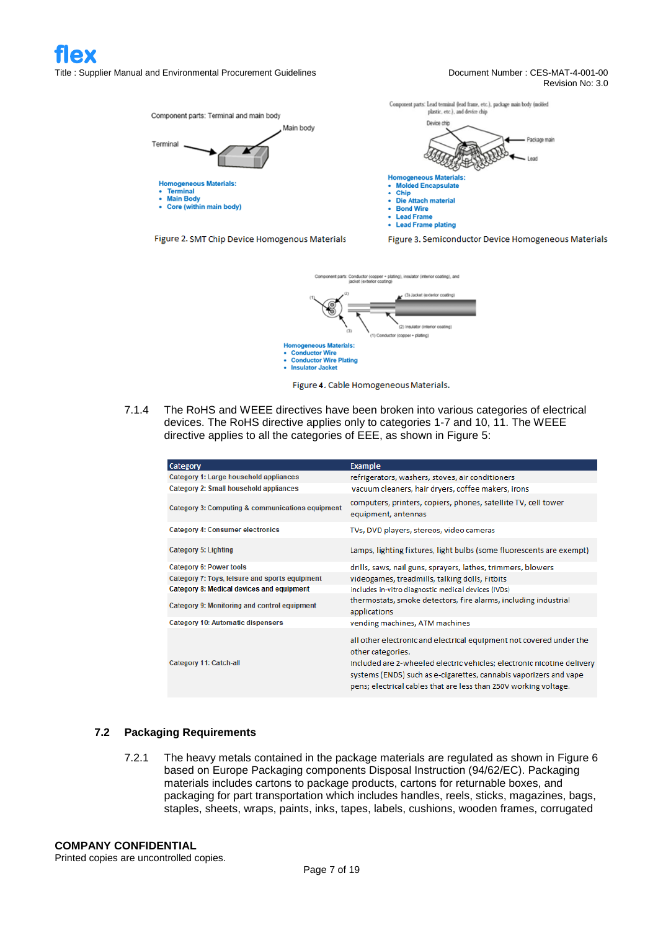

Figure 4. Cable Homogeneous Materials.

7.1.4 The RoHS and WEEE directives have been broken into various categories of electrical devices. The RoHS directive applies only to categories 1-7 and 10, 11. The WEEE directive applies to all the categories of EEE, as shown in Figure 5:

**Conductor Wire Plating**<br> **Insulator Jacket** 

| Category                                         | <b>Example</b>                                                                                                                                                                                                                                                                                              |
|--------------------------------------------------|-------------------------------------------------------------------------------------------------------------------------------------------------------------------------------------------------------------------------------------------------------------------------------------------------------------|
| Category 1: Large household appliances           | refrigerators, washers, stoves, air conditioners                                                                                                                                                                                                                                                            |
| Category 2: Small household appliances           | vacuum cleaners, hair dryers, coffee makers, irons                                                                                                                                                                                                                                                          |
| Category 3: Computing & communications equipment | computers, printers, copiers, phones, satellite TV, cell tower<br>equipment, antennas                                                                                                                                                                                                                       |
| <b>Category 4: Consumer electronics</b>          | TVs, DVD players, stereos, video cameras                                                                                                                                                                                                                                                                    |
| Category 5: Lighting                             | Lamps, lighting fixtures, light bulbs (some fluorescents are exempt)                                                                                                                                                                                                                                        |
| Category 6: Power tools                          | drills, saws, nail guns, sprayers, lathes, trimmers, blowers                                                                                                                                                                                                                                                |
| Category 7: Toys, leisure and sports equipment   | videogames, treadmills, talking dolls, Fitbits                                                                                                                                                                                                                                                              |
| Category 8: Medical devices and equipment        | includes in-vitro diagnostic medical devices (IVDs)                                                                                                                                                                                                                                                         |
| Category 9: Monitoring and control equipment     | thermostats, smoke detectors, fire alarms, including industrial<br>applications                                                                                                                                                                                                                             |
| <b>Category 10: Automatic dispensers</b>         | vending machines, ATM machines                                                                                                                                                                                                                                                                              |
| Category 11: Catch-all                           | all other electronic and electrical equipment not covered under the<br>other categories.<br>Included are 2-wheeled electric vehicles; electronic nicotine delivery<br>systems (ENDS) such as e-cigarettes, cannabis vaporizers and vape<br>pens; electrical cables that are less than 250V working voltage. |

#### **7.2 Packaging Requirements**

7.2.1 The heavy metals contained in the package materials are regulated as shown in Figure 6 based on Europe Packaging components Disposal Instruction (94/62/EC). Packaging materials includes cartons to package products, cartons for returnable boxes, and packaging for part transportation which includes handles, reels, sticks, magazines, bags, staples, sheets, wraps, paints, inks, tapes, labels, cushions, wooden frames, corrugated

## **COMPANY CONFIDENTIAL**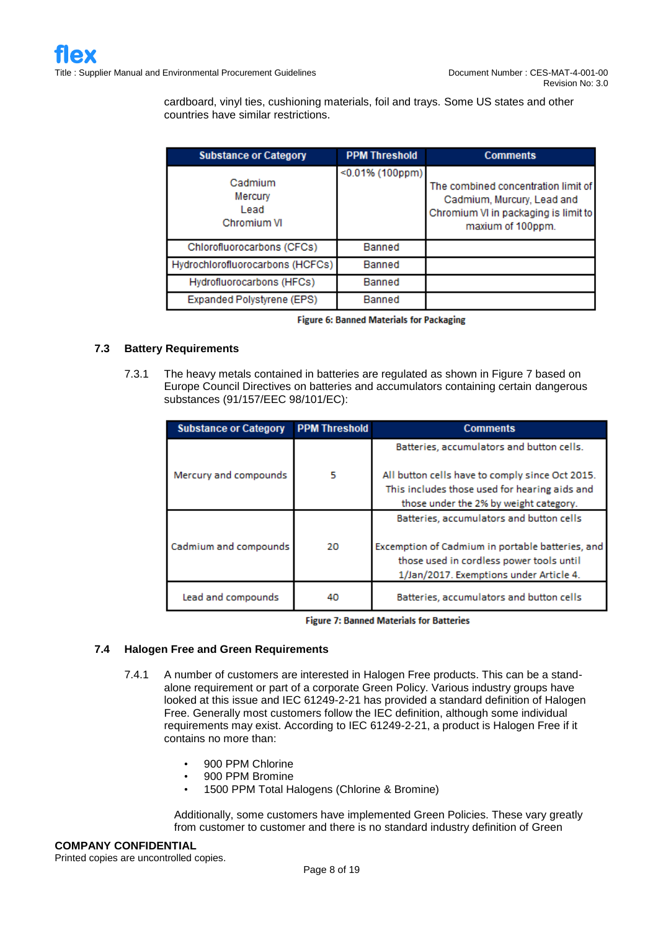cardboard, vinyl ties, cushioning materials, foil and trays. Some US states and other countries have similar restrictions.

| <b>Substance or Category</b>              | <b>PPM Threshold</b> | <b>Comments</b>                                                                                                                |
|-------------------------------------------|----------------------|--------------------------------------------------------------------------------------------------------------------------------|
| Cadmium<br>Mercury<br>Lead<br>Chromium VI | $<$ 0.01% (100ppm)   | The combined concentration limit of<br>Cadmium, Murcury, Lead and<br>Chromium VI in packaging is limit to<br>maxium of 100ppm. |
| Chlorofluorocarbons (CFCs)                | Banned               |                                                                                                                                |
| Hydrochlorofluorocarbons (HCFCs)          | Banned               |                                                                                                                                |
| Hydrofluorocarbons (HFCs)                 | Banned               |                                                                                                                                |
| Expanded Polystyrene (EPS)                | Banned               |                                                                                                                                |

|  |  | <b>Figure 6: Banned Materials for Packaging</b> |  |  |
|--|--|-------------------------------------------------|--|--|
|--|--|-------------------------------------------------|--|--|

#### **7.3 Battery Requirements**

7.3.1 The heavy metals contained in batteries are regulated as shown in Figure 7 based on Europe Council Directives on batteries and accumulators containing certain dangerous substances (91/157/EEC 98/101/EC):

| <b>Substance or Category</b> | <b>PPM Threshold</b> | <b>Comments</b>                                  |
|------------------------------|----------------------|--------------------------------------------------|
|                              |                      | Batteries, accumulators and button cells.        |
| Mercury and compounds        | 5                    | All button cells have to comply since Oct 2015.  |
|                              |                      | This includes those used for hearing aids and    |
|                              |                      | those under the 2% by weight category.           |
|                              |                      | Batteries, accumulators and button cells         |
| Cadmium and compounds        | 20                   | Excemption of Cadmium in portable batteries, and |
|                              |                      | those used in cordless power tools until         |
|                              |                      | 1/Jan/2017. Exemptions under Article 4.          |
| Lead and compounds           | 40                   | Batteries, accumulators and button cells         |

**Figure 7: Banned Materials for Batteries** 

#### **7.4 Halogen Free and Green Requirements**

- 7.4.1 A number of customers are interested in Halogen Free products. This can be a standalone requirement or part of a corporate Green Policy. Various industry groups have looked at this issue and IEC 61249-2-21 has provided a standard definition of Halogen Free. Generally most customers follow the IEC definition, although some individual requirements may exist. According to IEC 61249-2-21, a product is Halogen Free if it contains no more than:
	- 900 PPM Chlorine
	- 900 PPM Bromine
	- 1500 PPM Total Halogens (Chlorine & Bromine)

Additionally, some customers have implemented Green Policies. These vary greatly from customer to customer and there is no standard industry definition of Green

#### **COMPANY CONFIDENTIAL**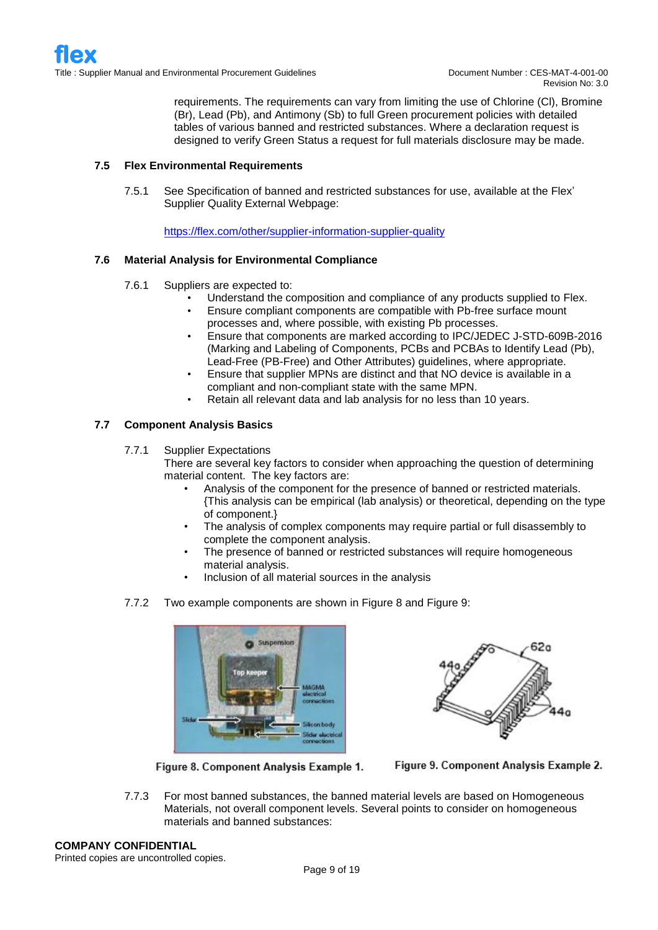requirements. The requirements can vary from limiting the use of Chlorine (Cl), Bromine (Br), Lead (Pb), and Antimony (Sb) to full Green procurement policies with detailed tables of various banned and restricted substances. Where a declaration request is designed to verify Green Status a request for full materials disclosure may be made.

#### **7.5 Flex Environmental Requirements**

7.5.1 See Specification of banned and restricted substances for use, available at the Flex' Supplier Quality External Webpage:

<https://flex.com/other/supplier-information-supplier-quality>

#### **7.6 Material Analysis for Environmental Compliance**

- 7.6.1 Suppliers are expected to:
	- Understand the composition and compliance of any products supplied to Flex.
	- Ensure compliant components are compatible with Pb-free surface mount processes and, where possible, with existing Pb processes.
	- Ensure that components are marked according to IPC/JEDEC J-STD-609B-2016 (Marking and Labeling of Components, PCBs and PCBAs to Identify Lead (Pb), Lead-Free (PB-Free) and Other Attributes) guidelines, where appropriate.
	- Ensure that supplier MPNs are distinct and that NO device is available in a compliant and non-compliant state with the same MPN.
	- Retain all relevant data and lab analysis for no less than 10 years.

#### **7.7 Component Analysis Basics**

7.7.1 Supplier Expectations

There are several key factors to consider when approaching the question of determining material content. The key factors are:

- Analysis of the component for the presence of banned or restricted materials. {This analysis can be empirical (lab analysis) or theoretical, depending on the type of component.}
- The analysis of complex components may require partial or full disassembly to complete the component analysis.
- The presence of banned or restricted substances will require homogeneous material analysis.
- Inclusion of all material sources in the analysis
- 7.7.2 Two example components are shown in Figure 8 and Figure 9:







Figure 9. Component Analysis Example 2.

7.7.3 For most banned substances, the banned material levels are based on Homogeneous Materials, not overall component levels. Several points to consider on homogeneous materials and banned substances:

#### **COMPANY CONFIDENTIAL**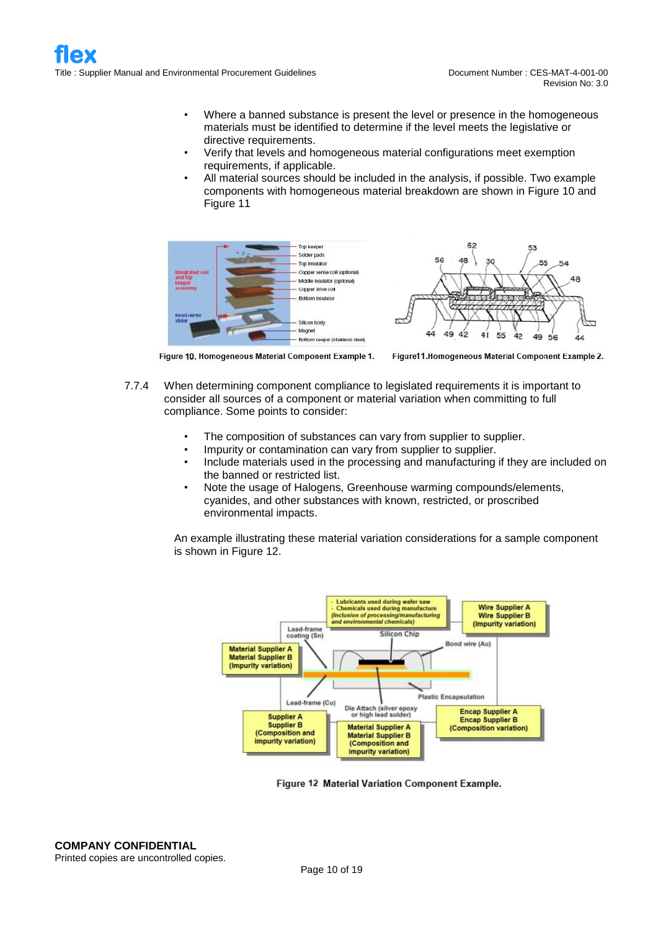- Where a banned substance is present the level or presence in the homogeneous materials must be identified to determine if the level meets the legislative or directive requirements.
- Verify that levels and homogeneous material configurations meet exemption requirements, if applicable.
- All material sources should be included in the analysis, if possible. Two example components with homogeneous material breakdown are shown in Figure 10 and Figure 11





Figure 10. Homogeneous Material Component Example 1.



- 7.7.4 When determining component compliance to legislated requirements it is important to consider all sources of a component or material variation when committing to full compliance. Some points to consider:
	- The composition of substances can vary from supplier to supplier.
	- Impurity or contamination can vary from supplier to supplier.
	- Include materials used in the processing and manufacturing if they are included on the banned or restricted list.
	- Note the usage of Halogens, Greenhouse warming compounds/elements, cyanides, and other substances with known, restricted, or proscribed environmental impacts.

An example illustrating these material variation considerations for a sample component is shown in Figure 12.



Figure 12 Material Variation Component Example.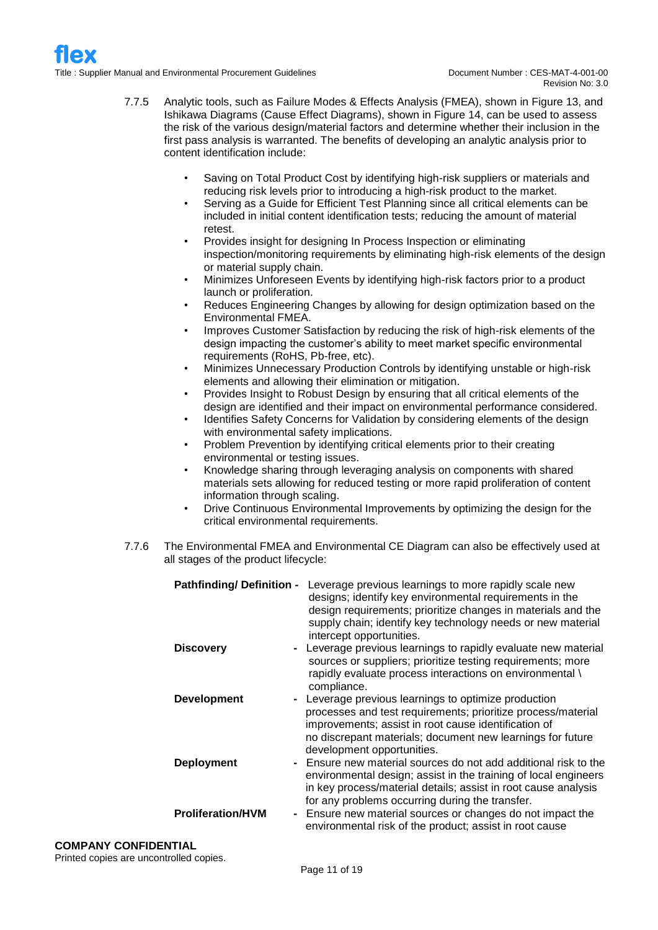- 7.7.5 Analytic tools, such as Failure Modes & Effects Analysis (FMEA), shown in Figure 13, and Ishikawa Diagrams (Cause Effect Diagrams), shown in Figure 14, can be used to assess the risk of the various design/material factors and determine whether their inclusion in the first pass analysis is warranted. The benefits of developing an analytic analysis prior to content identification include:
	- Saving on Total Product Cost by identifying high-risk suppliers or materials and reducing risk levels prior to introducing a high-risk product to the market.
	- Serving as a Guide for Efficient Test Planning since all critical elements can be included in initial content identification tests; reducing the amount of material retest.
	- Provides insight for designing In Process Inspection or eliminating inspection/monitoring requirements by eliminating high-risk elements of the design or material supply chain.
	- Minimizes Unforeseen Events by identifying high-risk factors prior to a product launch or proliferation.
	- Reduces Engineering Changes by allowing for design optimization based on the Environmental FMEA.
	- Improves Customer Satisfaction by reducing the risk of high-risk elements of the design impacting the customer's ability to meet market specific environmental requirements (RoHS, Pb-free, etc).
	- Minimizes Unnecessary Production Controls by identifying unstable or high-risk elements and allowing their elimination or mitigation.
	- Provides Insight to Robust Design by ensuring that all critical elements of the design are identified and their impact on environmental performance considered.
	- Identifies Safety Concerns for Validation by considering elements of the design with environmental safety implications.
	- Problem Prevention by identifying critical elements prior to their creating environmental or testing issues.
	- Knowledge sharing through leveraging analysis on components with shared materials sets allowing for reduced testing or more rapid proliferation of content information through scaling.
	- Drive Continuous Environmental Improvements by optimizing the design for the critical environmental requirements.
- 7.7.6 The Environmental FMEA and Environmental CE Diagram can also be effectively used at all stages of the product lifecycle:

| <b>Pathfinding/Definition -</b> | Leverage previous learnings to more rapidly scale new<br>designs; identify key environmental requirements in the<br>design requirements; prioritize changes in materials and the<br>supply chain; identify key technology needs or new material<br>intercept opportunities. |
|---------------------------------|-----------------------------------------------------------------------------------------------------------------------------------------------------------------------------------------------------------------------------------------------------------------------------|
| <b>Discovery</b>                | - Leverage previous learnings to rapidly evaluate new material<br>sources or suppliers; prioritize testing requirements; more<br>rapidly evaluate process interactions on environmental \<br>compliance.                                                                    |
| <b>Development</b>              | - Leverage previous learnings to optimize production<br>processes and test requirements; prioritize process/material<br>improvements; assist in root cause identification of<br>no discrepant materials; document new learnings for future<br>development opportunities.    |
| <b>Deployment</b>               | - Ensure new material sources do not add additional risk to the<br>environmental design; assist in the training of local engineers<br>in key process/material details; assist in root cause analysis<br>for any problems occurring during the transfer.                     |
| <b>Proliferation/HVM</b>        | - Ensure new material sources or changes do not impact the<br>environmental risk of the product; assist in root cause                                                                                                                                                       |

## **COMPANY CONFIDENTIAL**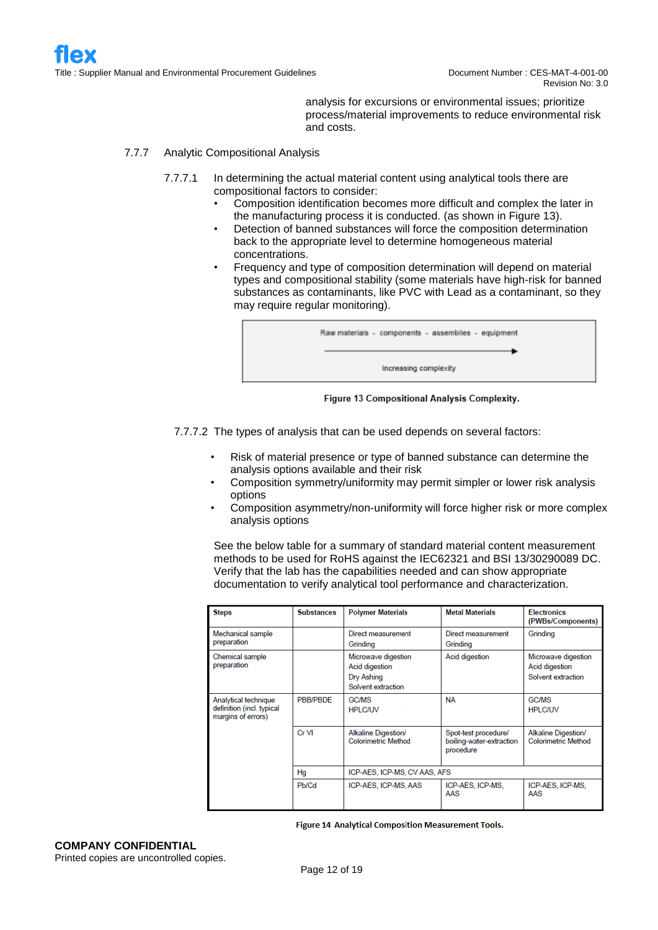analysis for excursions or environmental issues; prioritize process/material improvements to reduce environmental risk and costs.

#### 7.7.7 Analytic Compositional Analysis

- 7.7.7.1 In determining the actual material content using analytical tools there are compositional factors to consider:
	- Composition identification becomes more difficult and complex the later in the manufacturing process it is conducted. (as shown in Figure 13).
	- Detection of banned substances will force the composition determination back to the appropriate level to determine homogeneous material concentrations.
	- Frequency and type of composition determination will depend on material types and compositional stability (some materials have high-risk for banned substances as contaminants, like PVC with Lead as a contaminant, so they may require regular monitoring).

| Raw materials - components - assemblies - equipment |
|-----------------------------------------------------|
| Increasing complexity                               |

Figure 13 Compositional Analysis Complexity.

7.7.7.2 The types of analysis that can be used depends on several factors:

- Risk of material presence or type of banned substance can determine the analysis options available and their risk
- Composition symmetry/uniformity may permit simpler or lower risk analysis options
- Composition asymmetry/non-uniformity will force higher risk or more complex analysis options

See the below table for a summary of standard material content measurement methods to be used for RoHS against the IEC62321 and BSI 13/30290089 DC. Verify that the lab has the capabilities needed and can show appropriate documentation to verify analytical tool performance and characterization.

| <b>Steps</b>                                                            | <b>Substances</b> | <b>Polymer Materials</b>                                                  | <b>Metal Materials</b>                                        | <b>Electronics</b><br>(PWBs/Components)                     |
|-------------------------------------------------------------------------|-------------------|---------------------------------------------------------------------------|---------------------------------------------------------------|-------------------------------------------------------------|
| Mechanical sample<br>preparation                                        |                   | Direct measurement<br>Grinding                                            | Direct measurement<br>Grinding                                | Grinding                                                    |
| Chemical sample<br>preparation                                          |                   | Microwave digestion<br>Acid digestion<br>Dry Ashing<br>Solvent extraction | Acid digestion                                                | Microwave digestion<br>Acid digestion<br>Solvent extraction |
| Analytical technique<br>definition (incl. typical<br>margins of errors) | PBB/PBDE          | <b>GC/MS</b><br><b>HPLC/UV</b>                                            | <b>NA</b>                                                     | <b>GC/MS</b><br><b>HPLC/UV</b>                              |
|                                                                         | Cr VI             | Alkaline Digestion/<br><b>Colorimetric Method</b>                         | Spot-test procedure/<br>boiling-water-extraction<br>procedure | Alkaline Digestion/<br><b>Colorimetric Method</b>           |
|                                                                         | Hq                | ICP-AES, ICP-MS, CV AAS, AFS                                              |                                                               |                                                             |
|                                                                         | Pb/Cd             | ICP-AES, ICP-MS, AAS                                                      | ICP-AES, ICP-MS,<br>AAS                                       | ICP-AES, ICP-MS,<br>AAS                                     |

Figure 14 Analytical Composition Measurement Tools.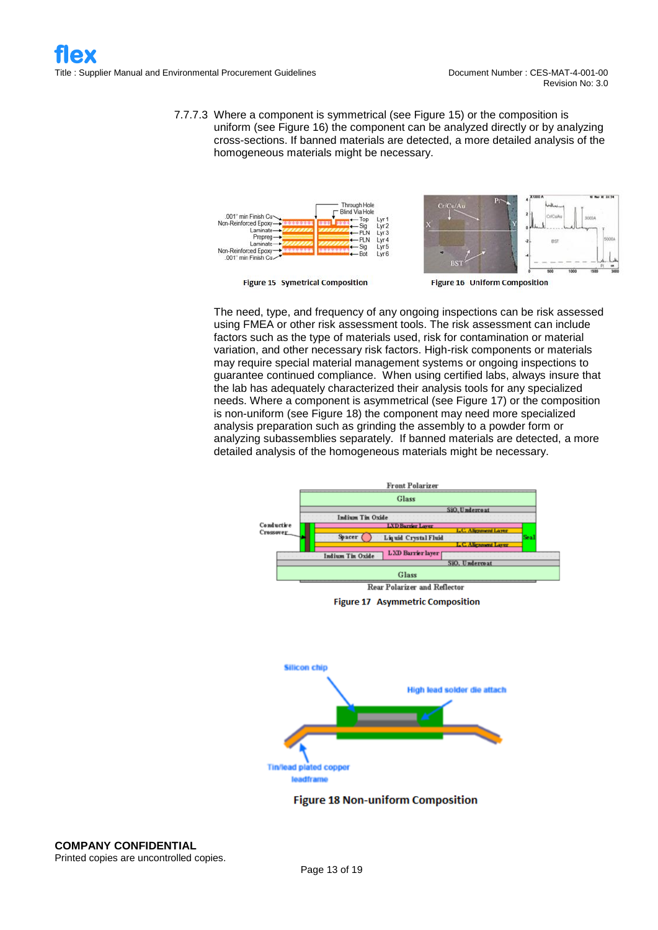7.7.7.3 Where a component is symmetrical (see Figure 15) or the composition is uniform (see Figure 16) the component can be analyzed directly or by analyzing cross-sections. If banned materials are detected, a more detailed analysis of the homogeneous materials might be necessary.



**Figure 15 Symetrical Composition** 



The need, type, and frequency of any ongoing inspections can be risk assessed using FMEA or other risk assessment tools. The risk assessment can include factors such as the type of materials used, risk for contamination or material variation, and other necessary risk factors. High-risk components or materials may require special material management systems or ongoing inspections to guarantee continued compliance. When using certified labs, always insure that the lab has adequately characterized their analysis tools for any specialized needs. Where a component is asymmetrical (see Figure 17) or the composition is non-uniform (see Figure 18) the component may need more specialized analysis preparation such as grinding the assembly to a powder form or analyzing subassemblies separately. If banned materials are detected, a more detailed analysis of the homogeneous materials might be necessary.



**Figure 17 Asymmetric Composition** 



**Figure 18 Non-uniform Composition**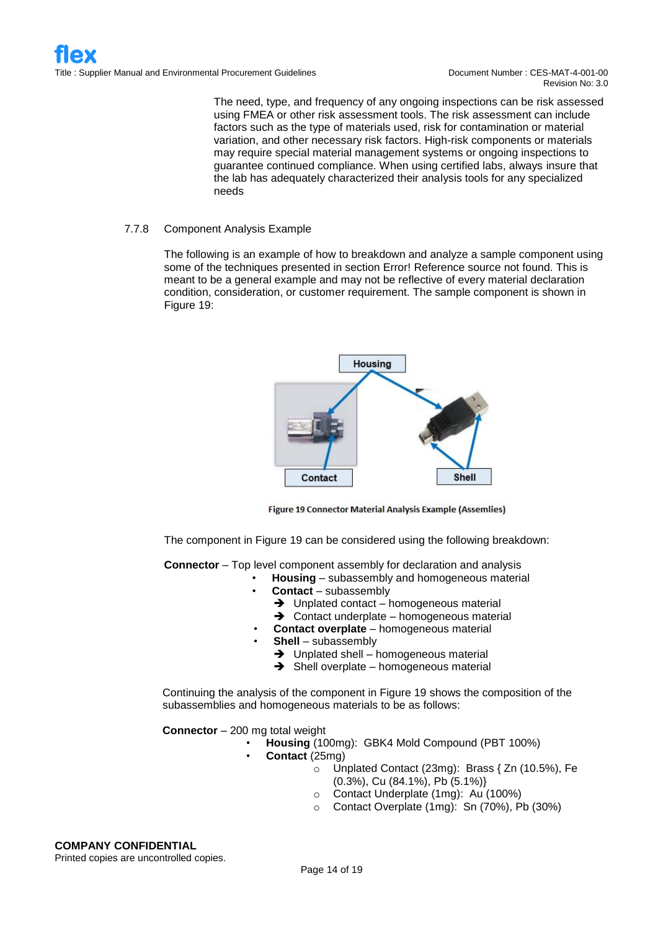Revision No: 3.0

The need, type, and frequency of any ongoing inspections can be risk assessed using FMEA or other risk assessment tools. The risk assessment can include factors such as the type of materials used, risk for contamination or material variation, and other necessary risk factors. High-risk components or materials may require special material management systems or ongoing inspections to guarantee continued compliance. When using certified labs, always insure that the lab has adequately characterized their analysis tools for any specialized needs

#### 7.7.8 Component Analysis Example

The following is an example of how to breakdown and analyze a sample component using some of the techniques presented in section Error! Reference source not found. This is meant to be a general example and may not be reflective of every material declaration condition, consideration, or customer requirement. The sample component is shown in Figure 19:



Figure 19 Connector Material Analysis Example (Assemlies)

The component in Figure 19 can be considered using the following breakdown:

**Connector** – Top level component assembly for declaration and analysis

- **Housing** subassembly and homogeneous material
- **Contact**  subassembly
	- ➔ Unplated contact homogeneous material
	- ➔ Contact underplate homogeneous material
- **Contact overplate** homogeneous material
- **Shell**  subassembly
	- ➔ Unplated shell homogeneous material
	- **→** Shell overplate homogeneous material

Continuing the analysis of the component in Figure 19 shows the composition of the subassemblies and homogeneous materials to be as follows:

**Connector** – 200 mg total weight

- **Housing** (100mg): GBK4 Mold Compound (PBT 100%)
- **Contact** (25mg)
	- o Unplated Contact (23mg): Brass { Zn (10.5%), Fe (0.3%), Cu (84.1%), Pb (5.1%)}
	- o Contact Underplate (1mg): Au (100%)
	- o Contact Overplate (1mg): Sn (70%), Pb (30%)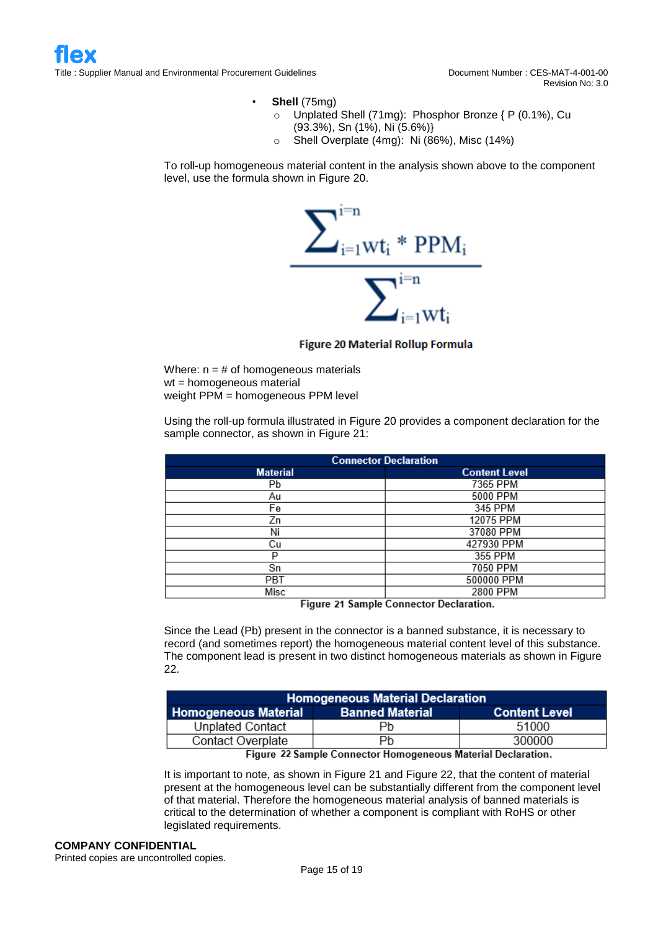- **Shell** (75mg)
	- o Unplated Shell (71mg): Phosphor Bronze { P (0.1%), Cu (93.3%), Sn (1%), Ni (5.6%)}
	- o Shell Overplate (4mg): Ni (86%), Misc (14%)

To roll-up homogeneous material content in the analysis shown above to the component level, use the formula shown in Figure 20.



**Figure 20 Material Rollup Formula** 

Where:  $n = #$  of homogeneous materials wt = homogeneous material weight PPM = homogeneous PPM level

Using the roll-up formula illustrated in Figure 20 provides a component declaration for the sample connector, as shown in Figure 21:

| <b>Connector Declaration</b> |                      |  |  |  |  |  |
|------------------------------|----------------------|--|--|--|--|--|
| <b>Material</b>              | <b>Content Level</b> |  |  |  |  |  |
| Рb                           | 7365 PPM             |  |  |  |  |  |
| Au                           | 5000 PPM             |  |  |  |  |  |
| Fe                           | 345 PPM              |  |  |  |  |  |
| Zn                           | 12075 PPM            |  |  |  |  |  |
| Ni                           | 37080 PPM            |  |  |  |  |  |
| Сu                           | 427930 PPM           |  |  |  |  |  |
| P                            | 355 PPM              |  |  |  |  |  |
| Sn                           | 7050 PPM             |  |  |  |  |  |
| PBT                          | 500000 PPM           |  |  |  |  |  |
| Misc                         | 2800 PPM             |  |  |  |  |  |

Figure 21 Sample Connector Declaration.

Since the Lead (Pb) present in the connector is a banned substance, it is necessary to record (and sometimes report) the homogeneous material content level of this substance. The component lead is present in two distinct homogeneous materials as shown in Figure 22.

| <b>Homogeneous Material Declaration</b>                                                                                                                                                                                                                                                               |                        |                      |  |  |  |  |  |  |
|-------------------------------------------------------------------------------------------------------------------------------------------------------------------------------------------------------------------------------------------------------------------------------------------------------|------------------------|----------------------|--|--|--|--|--|--|
| <b>Homogeneous Material</b>                                                                                                                                                                                                                                                                           | <b>Banned Material</b> | <b>Content Level</b> |  |  |  |  |  |  |
| Unplated Contact                                                                                                                                                                                                                                                                                      | Рb                     | 51000                |  |  |  |  |  |  |
| <b>Contact Overplate</b>                                                                                                                                                                                                                                                                              | Рb                     | 300000               |  |  |  |  |  |  |
| $F_1$ , $\frac{1}{2}$ , $\frac{1}{2}$ , $\frac{1}{2}$ , $\frac{1}{2}$ , $\frac{1}{2}$ , $\frac{1}{2}$ , $\frac{1}{2}$ , $\frac{1}{2}$ , $\frac{1}{2}$ , $\frac{1}{2}$ , $\frac{1}{2}$ , $\frac{1}{2}$ , $\frac{1}{2}$ , $\frac{1}{2}$ , $\frac{1}{2}$ , $\frac{1}{2}$ , $\frac{1}{2}$ , $\frac{1}{2}$ |                        |                      |  |  |  |  |  |  |

Figure 22 Sample Connector Homogeneous Material Declaration.

It is important to note, as shown in Figure 21 and Figure 22, that the content of material present at the homogeneous level can be substantially different from the component level of that material. Therefore the homogeneous material analysis of banned materials is critical to the determination of whether a component is compliant with RoHS or other legislated requirements.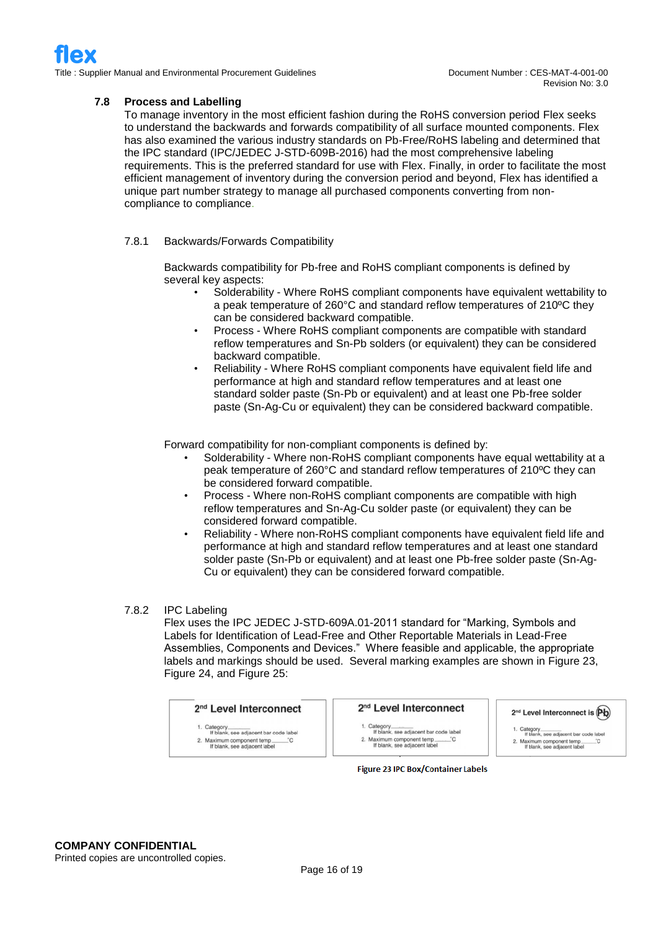#### **7.8 Process and Labelling**

To manage inventory in the most efficient fashion during the RoHS conversion period Flex seeks to understand the backwards and forwards compatibility of all surface mounted components. Flex has also examined the various industry standards on Pb-Free/RoHS labeling and determined that the IPC standard (IPC/JEDEC J-STD-609B-2016) had the most comprehensive labeling requirements. This is the preferred standard for use with Flex. Finally, in order to facilitate the most efficient management of inventory during the conversion period and beyond, Flex has identified a unique part number strategy to manage all purchased components converting from noncompliance to compliance.

#### 7.8.1 Backwards/Forwards Compatibility

Backwards compatibility for Pb-free and RoHS compliant components is defined by several key aspects:

- Solderability Where RoHS compliant components have equivalent wettability to a peak temperature of 260°C and standard reflow temperatures of 210ºC they can be considered backward compatible.
- Process Where RoHS compliant components are compatible with standard reflow temperatures and Sn-Pb solders (or equivalent) they can be considered backward compatible.
- Reliability Where RoHS compliant components have equivalent field life and performance at high and standard reflow temperatures and at least one standard solder paste (Sn-Pb or equivalent) and at least one Pb-free solder paste (Sn-Ag-Cu or equivalent) they can be considered backward compatible.

Forward compatibility for non-compliant components is defined by:

- Solderability Where non-RoHS compliant components have equal wettability at a peak temperature of 260°C and standard reflow temperatures of 210ºC they can be considered forward compatible.
- Process Where non-RoHS compliant components are compatible with high reflow temperatures and Sn-Ag-Cu solder paste (or equivalent) they can be considered forward compatible.
- Reliability Where non-RoHS compliant components have equivalent field life and performance at high and standard reflow temperatures and at least one standard solder paste (Sn-Pb or equivalent) and at least one Pb-free solder paste (Sn-Ag-Cu or equivalent) they can be considered forward compatible.

#### 7.8.2 IPC Labeling

Flex uses the IPC JEDEC J-STD-609A.01-2011 standard for "Marking, Symbols and Labels for Identification of Lead-Free and Other Reportable Materials in Lead-Free Assemblies, Components and Devices." Where feasible and applicable, the appropriate labels and markings should be used. Several marking examples are shown in Figure 23, Figure 24, and Figure 25:

| 2 <sup>nd</sup> Level Interconnect                         |
|------------------------------------------------------------|
| 1. Category<br>If blank, see adjacent bar code label       |
| 2. Maximum component temp_<br>If blank, see adjacent label |

#### 2<sup>nd</sup> Level Interconnect

1. Category<br>If blank, see adjacent bar code label<br>2. Maximum component temp

2. Maximum component temp\_\_\_\_\_\_<br>If blank, see adjacent label

2<sup>nd</sup> Level Interconnect is (Pb)

1. Category...<br>If blank, see adjacent bar code label 

**Figure 23 IPC Box/Container Labels**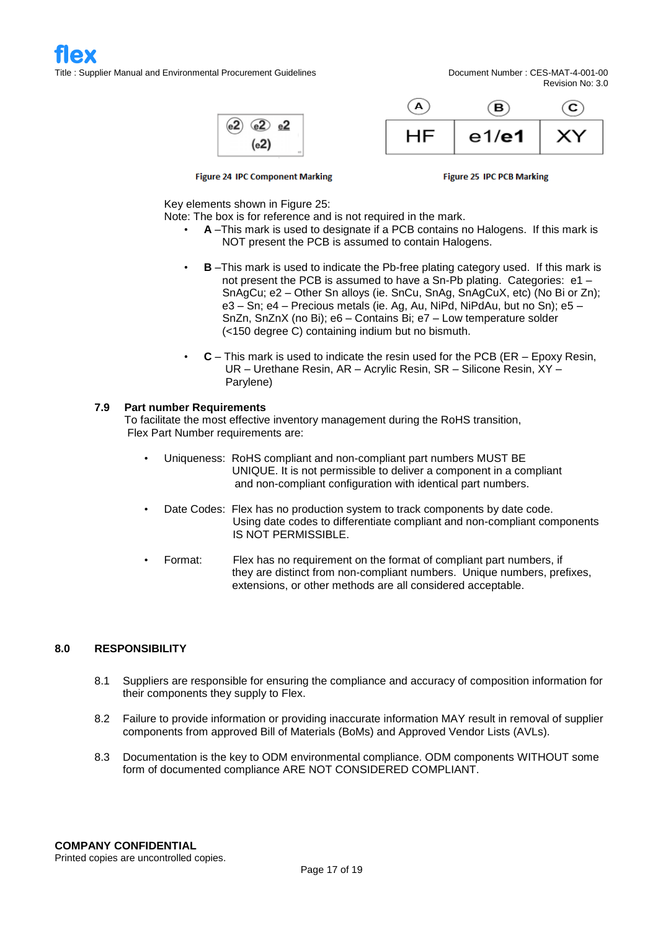$Q^2$   $e^2$  $_{\rm (e2)}$  $(e2)$ 



Revision No: 3.0

**Figure 24 IPC Component Marking** 

**Figure 25 IPC PCB Marking** 

Key elements shown in Figure 25:

Note: The box is for reference and is not required in the mark.

- **A** –This mark is used to designate if a PCB contains no Halogens. If this mark is NOT present the PCB is assumed to contain Halogens.
- **B** –This mark is used to indicate the Pb-free plating category used. If this mark is not present the PCB is assumed to have a Sn-Pb plating. Categories: e1 – SnAgCu; e2 – Other Sn alloys (ie. SnCu, SnAg, SnAgCuX, etc) (No Bi or Zn); e3 – Sn; e4 – Precious metals (ie. Ag, Au, NiPd, NiPdAu, but no Sn); e5 – SnZn, SnZnX (no Bi); e6 – Contains Bi; e7 – Low temperature solder (<150 degree C) containing indium but no bismuth.
- **C** This mark is used to indicate the resin used for the PCB (ER Epoxy Resin, UR – Urethane Resin, AR – Acrylic Resin, SR – Silicone Resin, XY – Parylene)

#### **7.9 Part number Requirements**

To facilitate the most effective inventory management during the RoHS transition, Flex Part Number requirements are:

- Uniqueness: RoHS compliant and non-compliant part numbers MUST BE UNIQUE. It is not permissible to deliver a component in a compliant and non-compliant configuration with identical part numbers.
- Date Codes: Flex has no production system to track components by date code. Using date codes to differentiate compliant and non-compliant components IS NOT PERMISSIBLE.
- Format: Flex has no requirement on the format of compliant part numbers, if they are distinct from non-compliant numbers. Unique numbers, prefixes, extensions, or other methods are all considered acceptable.

#### **8.0 RESPONSIBILITY**

- 8.1 Suppliers are responsible for ensuring the compliance and accuracy of composition information for their components they supply to Flex.
- 8.2 Failure to provide information or providing inaccurate information MAY result in removal of supplier components from approved Bill of Materials (BoMs) and Approved Vendor Lists (AVLs).
- 8.3 Documentation is the key to ODM environmental compliance. ODM components WITHOUT some form of documented compliance ARE NOT CONSIDERED COMPLIANT.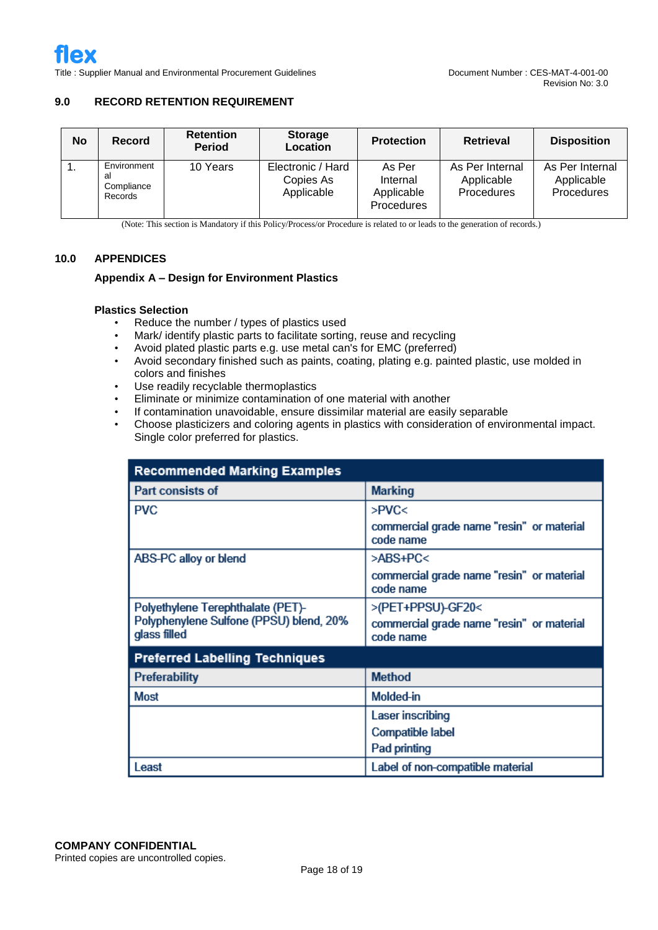#### **9.0 RECORD RETENTION REQUIREMENT**

| <b>No</b> | Record                                     | <b>Retention</b><br><b>Period</b> | <b>Storage</b><br>Location                   | <b>Protection</b>                              | <b>Retrieval</b>                            | <b>Disposition</b>                          |  |
|-----------|--------------------------------------------|-----------------------------------|----------------------------------------------|------------------------------------------------|---------------------------------------------|---------------------------------------------|--|
| ι.        | Environment<br>al<br>Compliance<br>Records | 10 Years                          | Electronic / Hard<br>Copies As<br>Applicable | As Per<br>Internal<br>Applicable<br>Procedures | As Per Internal<br>Applicable<br>Procedures | As Per Internal<br>Applicable<br>Procedures |  |

(Note: This section is Mandatory if this Policy/Process/or Procedure is related to or leads to the generation of records.)

#### **10.0 APPENDICES**

#### **Appendix A – Design for Environment Plastics**

#### **Plastics Selection**

- Reduce the number / types of plastics used
- Mark/ identify plastic parts to facilitate sorting, reuse and recycling
- Avoid plated plastic parts e.g. use metal can's for EMC (preferred)
- Avoid secondary finished such as paints, coating, plating e.g. painted plastic, use molded in colors and finishes
- Use readily recyclable thermoplastics
- Eliminate or minimize contamination of one material with another
- If contamination unavoidable, ensure dissimilar material are easily separable
- Choose plasticizers and coloring agents in plastics with consideration of environmental impact. Single color preferred for plastics.

| <b>Recommended Marking Examples</b>                     |                                                        |  |  |  |  |  |  |
|---------------------------------------------------------|--------------------------------------------------------|--|--|--|--|--|--|
| Part consists of                                        | <b>Marking</b>                                         |  |  |  |  |  |  |
| <b>PVC</b>                                              | >PVC<                                                  |  |  |  |  |  |  |
|                                                         | commercial grade name "resin" or material<br>code name |  |  |  |  |  |  |
| ABS-PC alloy or blend                                   | >ABS+PC<                                               |  |  |  |  |  |  |
|                                                         | commercial grade name "resin" or material<br>code name |  |  |  |  |  |  |
| Polyethylene Terephthalate (PET)-                       | >(PET+PPSU)-GF20<                                      |  |  |  |  |  |  |
| Polyphenylene Sulfone (PPSU) blend, 20%<br>glass filled | commercial grade name "resin" or material<br>code name |  |  |  |  |  |  |
| <b>Preferred Labelling Techniques</b>                   |                                                        |  |  |  |  |  |  |
| <b>Preferability</b>                                    | <b>Method</b>                                          |  |  |  |  |  |  |
| <b>Most</b>                                             | Molded-in                                              |  |  |  |  |  |  |
|                                                         | Laser inscribing                                       |  |  |  |  |  |  |
|                                                         | Compatible label                                       |  |  |  |  |  |  |
|                                                         | Pad printing                                           |  |  |  |  |  |  |
| Least                                                   | Label of non-compatible material                       |  |  |  |  |  |  |